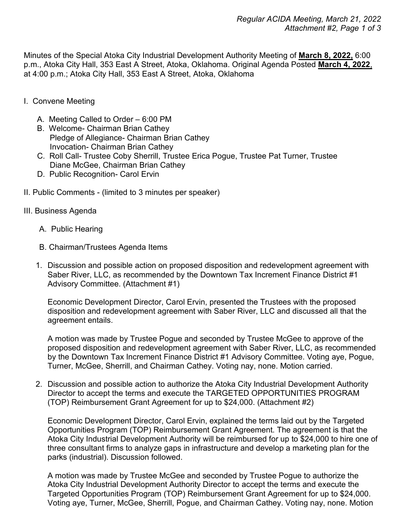Minutes of the Special Atoka City Industrial Development Authority Meeting of **March 8, 2022,** 6:00 p.m., Atoka City Hall, 353 East A Street, Atoka, Oklahoma. Original Agenda Posted **March 4, 2022**, at 4:00 p.m.; Atoka City Hall, 353 East A Street, Atoka, Oklahoma

- I. Convene Meeting
	- A. Meeting Called to Order 6:00 PM
	- B. Welcome- Chairman Brian Cathey Pledge of Allegiance- Chairman Brian Cathey Invocation- Chairman Brian Cathey
	- C. Roll Call- Trustee Coby Sherrill, Trustee Erica Pogue, Trustee Pat Turner, Trustee Diane McGee, Chairman Brian Cathey
	- D. Public Recognition- Carol Ervin
- II. Public Comments (limited to 3 minutes per speaker)
- III. Business Agenda
	- A. Public Hearing
	- B. Chairman/Trustees Agenda Items
	- 1. Discussion and possible action on proposed disposition and redevelopment agreement with Saber River, LLC, as recommended by the Downtown Tax Increment Finance District #1 Advisory Committee. (Attachment #1)

Economic Development Director, Carol Ervin, presented the Trustees with the proposed disposition and redevelopment agreement with Saber River, LLC and discussed all that the agreement entails.

A motion was made by Trustee Pogue and seconded by Trustee McGee to approve of the proposed disposition and redevelopment agreement with Saber River, LLC, as recommended by the Downtown Tax Increment Finance District #1 Advisory Committee. Voting aye, Pogue, Turner, McGee, Sherrill, and Chairman Cathey. Voting nay, none. Motion carried.

2. Discussion and possible action to authorize the Atoka City Industrial Development Authority Director to accept the terms and execute the TARGETED OPPORTUNITIES PROGRAM (TOP) Reimbursement Grant Agreement for up to \$24,000. (Attachment #2)

Economic Development Director, Carol Ervin, explained the terms laid out by the Targeted Opportunities Program (TOP) Reimbursement Grant Agreement. The agreement is that the Atoka City Industrial Development Authority will be reimbursed for up to \$24,000 to hire one of three consultant firms to analyze gaps in infrastructure and develop a marketing plan for the parks (industrial). Discussion followed.

A motion was made by Trustee McGee and seconded by Trustee Pogue to authorize the Atoka City Industrial Development Authority Director to accept the terms and execute the Targeted Opportunities Program (TOP) Reimbursement Grant Agreement for up to \$24,000. Voting aye, Turner, McGee, Sherrill, Pogue, and Chairman Cathey. Voting nay, none. Motion